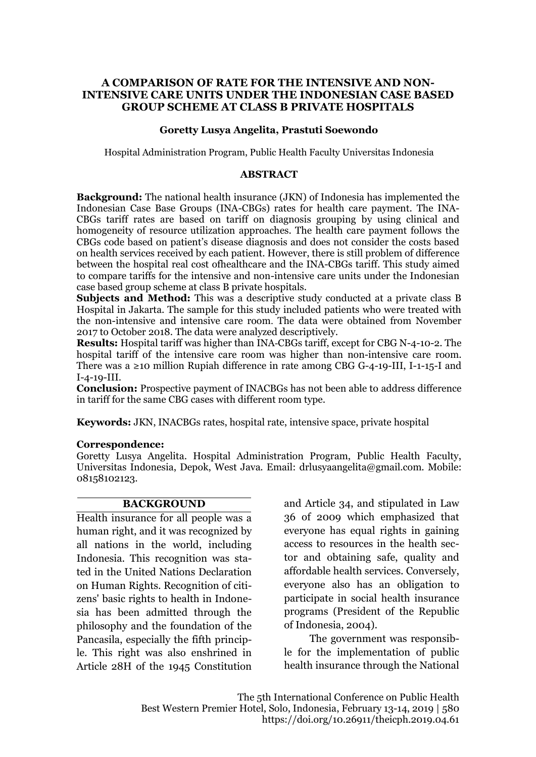### **A COMPARISON OF RATE FOR THE INTENSIVE AND NON-INTENSIVE CARE UNITS UNDER THE INDONESIAN CASE BASED GROUP SCHEME AT CLASS B PRIVATE HOSPITALS**

### **Goretty Lusya Angelita, Prastuti Soewondo**

Hospital Administration Program, Public Health Faculty Universitas Indonesia

### **ABSTRACT**

**Background:** The national health insurance (JKN) of Indonesia has implemented the Indonesian Case Base Groups (INA-CBGs) rates for health care payment. The INA-CBGs tariff rates are based on tariff on diagnosis grouping by using clinical and homogeneity of resource utilization approaches. The health care payment follows the CBGs code based on patient's disease diagnosis and does not consider the costs based on health services received by each patient. However, there is still problem of difference between the hospital real cost ofhealthcare and the INA-CBGs tariff. This study aimed to compare tariffs for the intensive and non-intensive care units under the Indonesian case based group scheme at class B private hospitals.

**Subjects and Method:** This was a descriptive study conducted at a private class B Hospital in Jakarta. The sample for this study included patients who were treated with the non-intensive and intensive care room. The data were obtained from November 2017 to October 2018. The data were analyzed descriptively.

**Results:** Hospital tariff was higher than INA-CBGs tariff, except for CBG N-4-10-2. The hospital tariff of the intensive care room was higher than non-intensive care room. There was a  $\geq 10$  million Rupiah difference in rate among CBG G-4-19-III, I-1-15-I and I-4-19-III.

**Conclusion:** Prospective payment of INACBGs has not been able to address difference in tariff for the same CBG cases with different room type.

**Keywords:** JKN, INACBGs rates, hospital rate, intensive space, private hospital

#### **Correspondence:**

Goretty Lusya Angelita. Hospital Administration Program, Public Health Faculty, Universitas Indonesia, Depok, West Java. Email: drlusyaangelita@gmail.com. Mobile: 08158102123.

### **BACKGROUND**

Health insurance for all people was a human right, and it was recognized by all nations in the world, including Indonesia. This recognition was stated in the United Nations Declaration on Human Rights. Recognition of citizens' basic rights to health in Indonesia has been admitted through the philosophy and the foundation of the Pancasila, especially the fifth principle. This right was also enshrined in Article 28H of the 1945 Constitution

and Article 34, and stipulated in Law 36 of 2009 which emphasized that everyone has equal rights in gaining access to resources in the health sector and obtaining safe, quality and affordable health services. Conversely, everyone also has an obligation to participate in social health insurance programs (President of the Republic of Indonesia, 2004).

The government was responsible for the implementation of public health insurance through the National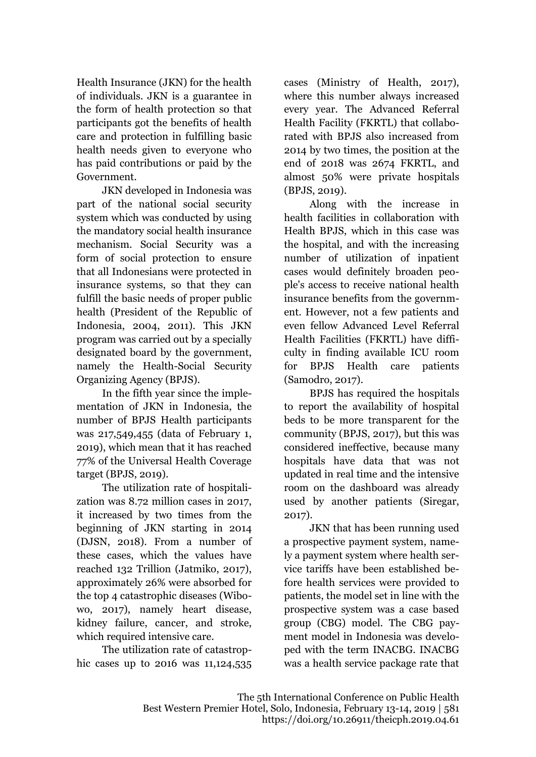Health Insurance (JKN) for the health of individuals. JKN is a guarantee in the form of health protection so that participants got the benefits of health care and protection in fulfilling basic health needs given to everyone who has paid contributions or paid by the Government.

JKN developed in Indonesia was part of the national social security system which was conducted by using the mandatory social health insurance mechanism. Social Security was a form of social protection to ensure that all Indonesians were protected in insurance systems, so that they can fulfill the basic needs of proper public health (President of the Republic of Indonesia, 2004, 2011). This JKN program was carried out by a specially designated board by the government, namely the Health-Social Security Organizing Agency (BPJS).

In the fifth year since the implementation of JKN in Indonesia, the number of BPJS Health participants was 217,549,455 (data of February 1, 2019), which mean that it has reached 77% of the Universal Health Coverage target (BPJS, 2019).

The utilization rate of hospitalization was 8.72 million cases in 2017, it increased by two times from the beginning of JKN starting in 2014 (DJSN, 2018). From a number of these cases, which the values have reached 132 Trillion (Jatmiko, 2017), approximately 26% were absorbed for the top 4 catastrophic diseases (Wibowo, 2017), namely heart disease, kidney failure, cancer, and stroke, which required intensive care.

The utilization rate of catastrophic cases up to 2016 was 11,124,535 cases (Ministry of Health, 2017), where this number always increased every year. The Advanced Referral Health Facility (FKRTL) that collaborated with BPJS also increased from 2014 by two times, the position at the end of 2018 was 2674 FKRTL, and almost 50% were private hospitals (BPJS, 2019).

Along with the increase in health facilities in collaboration with Health BPJS, which in this case was the hospital, and with the increasing number of utilization of inpatient cases would definitely broaden people's access to receive national health insurance benefits from the government. However, not a few patients and even fellow Advanced Level Referral Health Facilities (FKRTL) have difficulty in finding available ICU room for BPJS Health care patients (Samodro, 2017).

BPJS has required the hospitals to report the availability of hospital beds to be more transparent for the community (BPJS, 2017), but this was considered ineffective, because many hospitals have data that was not updated in real time and the intensive room on the dashboard was already used by another patients (Siregar, 2017).

JKN that has been running used a prospective payment system, namely a payment system where health service tariffs have been established before health services were provided to patients, the model set in line with the prospective system was a case based group (CBG) model. The CBG payment model in Indonesia was developed with the term INACBG. INACBG was a health service package rate that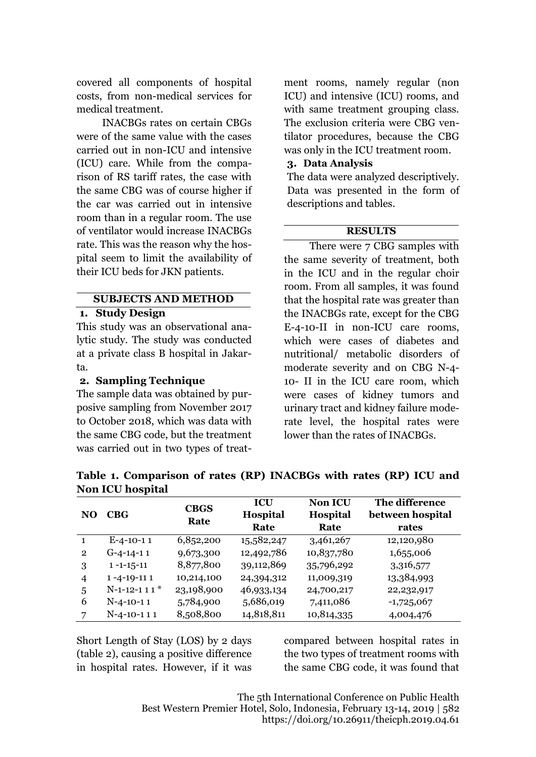covered all components of hospital costs, from non-medical services for medical treatment.

INACBGs rates on certain CBGs were of the same value with the cases carried out in non-ICU and intensive (ICU) care. While from the comparison of RS tariff rates, the case with the same CBG was of course higher if the car was carried out in intensive room than in a regular room. The use of ventilator would increase INACBGs rate. This was the reason why the hospital seem to limit the availability of their ICU beds for JKN patients.

# **SUBJECTS AND METHOD**

### **1. Study Design**

This study was an observational analytic study. The study was conducted at a private class B hospital in Jakarta.

# **2. Sampling Technique**

The sample data was obtained by purposive sampling from November 2017 to October 2018, which was data with the same CBG code, but the treatment was carried out in two types of treat-

ment rooms, namely regular (non ICU) and intensive (ICU) rooms, and with same treatment grouping class. The exclusion criteria were CBG ventilator procedures, because the CBG was only in the ICU treatment room.

### **3. Data Analysis**

The data were analyzed descriptively. Data was presented in the form of descriptions and tables.

# **RESULTS**

There were 7 CBG samples with the same severity of treatment, both in the ICU and in the regular choir room. From all samples, it was found that the hospital rate was greater than the INACBGs rate, except for the CBG E-4-10-II in non-ICU care rooms, which were cases of diabetes and nutritional/ metabolic disorders of moderate severity and on CBG N-4- 10- II in the ICU care room, which were cases of kidney tumors and urinary tract and kidney failure moderate level, the hospital rates were lower than the rates of INACBGs.

| <b>NUIL ICU MUSPILAI</b> |                    |                     |            |                 |                  |  |  |  |
|--------------------------|--------------------|---------------------|------------|-----------------|------------------|--|--|--|
| NO                       | CBG                | <b>CBGS</b><br>Rate | <b>ICU</b> | <b>Non ICU</b>  | The difference   |  |  |  |
|                          |                    |                     | Hospital   | <b>Hospital</b> | between hospital |  |  |  |
|                          |                    |                     | Rate       | Rate            | rates            |  |  |  |
|                          | $E-4-10-11$        | 6,852,200           | 15,582,247 | 3,461,267       | 12,120,980       |  |  |  |
| $\overline{2}$           | $G-4-14-11$        | 9,673,300           | 12,492,786 | 10,837,780      | 1,655,006        |  |  |  |
| 3                        | $1 - 1 - 15 - 11$  | 8,877,800           | 39,112,869 | 35,796,292      | 3,316,577        |  |  |  |
| 4                        | $1 - 4 - 19 - 111$ | 10,214,100          | 24,394,312 | 11,009,319      | 13,384,993       |  |  |  |
| 5                        | $N-1-12-111*$      | 23,198,900          | 46,933,134 | 24,700,217      | 22, 232, 917     |  |  |  |
| 6                        | $N-4-10-11$        | 5,784,900           | 5,686,019  | 7,411,086       | $-1,725,067$     |  |  |  |
| 7                        | $N-4-10-111$       | 8,508,800           | 14,818,811 | 10,814,335      | 4,004,476        |  |  |  |

**Table 1. Comparison of rates (RP) INACBGs with rates (RP) ICU and Non ICU hospital**

Short Length of Stay (LOS) by 2 days (table 2), causing a positive difference in hospital rates. However, if it was compared between hospital rates in the two types of treatment rooms with the same CBG code, it was found that

The 5th International Conference on Public Health Best Western Premier Hotel, Solo, Indonesia, February 13-14, 2019 | 582 https://doi.org/10.26911/theicph.2019.04.61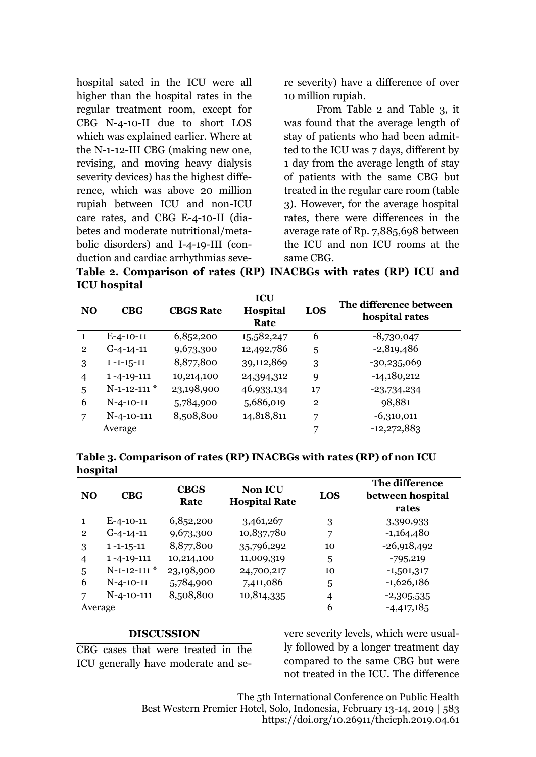hospital sated in the ICU were all higher than the hospital rates in the regular treatment room, except for CBG N-4-10-II due to short LOS which was explained earlier. Where at the N-1-12-III CBG (making new one, revising, and moving heavy dialysis severity devices) has the highest difference, which was above 20 million rupiah between ICU and non-ICU care rates, and CBG E-4-10-II (diabetes and moderate nutritional/metabolic disorders) and I-4-19-III (conduction and cardiac arrhythmias severe severity) have a difference of over 10 million rupiah.

From Table 2 and Table 3, it was found that the average length of stay of patients who had been admitted to the ICU was 7 days, different by 1 day from the average length of stay of patients with the same CBG but treated in the regular care room (table 3). However, for the average hospital rates, there were differences in the average rate of Rp. 7,885,698 between the ICU and non ICU rooms at the same CBG.

**Table 2. Comparison of rates (RP) INACBGs with rates (RP) ICU and ICU hospital**

| NO             | CBG                | <b>CBGS Rate</b> | <b>ICU</b><br><b>Hospital</b><br>Rate | LOS            | The difference between<br>hospital rates |
|----------------|--------------------|------------------|---------------------------------------|----------------|------------------------------------------|
| 1              | $E-4-10-11$        | 6,852,200        | 15,582,247                            | 6              | $-8,730,047$                             |
| $\overline{2}$ | $G-4-14-11$        | 9,673,300        | 12,492,786                            | 5              | $-2,819,486$                             |
| 3              | $1 - 1 - 15 - 11$  | 8,877,800        | 39,112,869                            | 3              | $-30,235,069$                            |
| 4              | $1 - 4 - 19 - 111$ | 10,214,100       | 24,394,312                            | 9              | $-14,180,212$                            |
| 5              | $N-1-12-111$ *     | 23,198,900       | 46,933,134                            | 17             | $-23,734,234$                            |
| 6              | $N-4-10-11$        | 5,784,900        | 5,686,019                             | $\overline{2}$ | 98,881                                   |
| 7              | $N-4-10-111$       | 8,508,800        | 14,818,811                            | 7              | $-6,310,011$                             |
|                | Average            |                  |                                       | 7              | $-12,272,883$                            |

**Table 3. Comparison of rates (RP) INACBGs with rates (RP) of non ICU hospital**

| <b>NO</b>      | CBG                | <b>CBGS</b><br>Rate | <b>Non ICU</b><br><b>Hospital Rate</b> | <b>LOS</b> | The difference<br>between hospital<br>rates |
|----------------|--------------------|---------------------|----------------------------------------|------------|---------------------------------------------|
|                | $E-4-10-11$        | 6,852,200           | 3,461,267                              | 3          | 3,390,933                                   |
| $\overline{2}$ | $G-4-14-11$        | 9,673,300           | 10,837,780                             | 7          | $-1,164,480$                                |
| 3              | $1 - 1 - 15 - 11$  | 8,877,800           | 35,796,292                             | 10         | $-26,918,492$                               |
| 4              | $1 - 4 - 19 - 111$ | 10,214,100          | 11,009,319                             | 5          | $-795,219$                                  |
| 5              | $N-1-12-111$ *     | 23,198,900          | 24,700,217                             | 10         | $-1,501,317$                                |
| 6              | $N-4-10-11$        | 5,784,900           | 7,411,086                              | 5          | $-1,626,186$                                |
| 7              | $N-4-10-111$       | 8,508,800           | 10,814,335                             | 4          | $-2,305,535$                                |
| Average        |                    |                     |                                        | 6          | $-4,417,185$                                |

### **DISCUSSION**

CBG cases that were treated in the ICU generally have moderate and severe severity levels, which were usually followed by a longer treatment day compared to the same CBG but were not treated in the ICU. The difference

The 5th International Conference on Public Health Best Western Premier Hotel, Solo, Indonesia, February 13-14, 2019 | 583 https://doi.org/10.26911/theicph.2019.04.61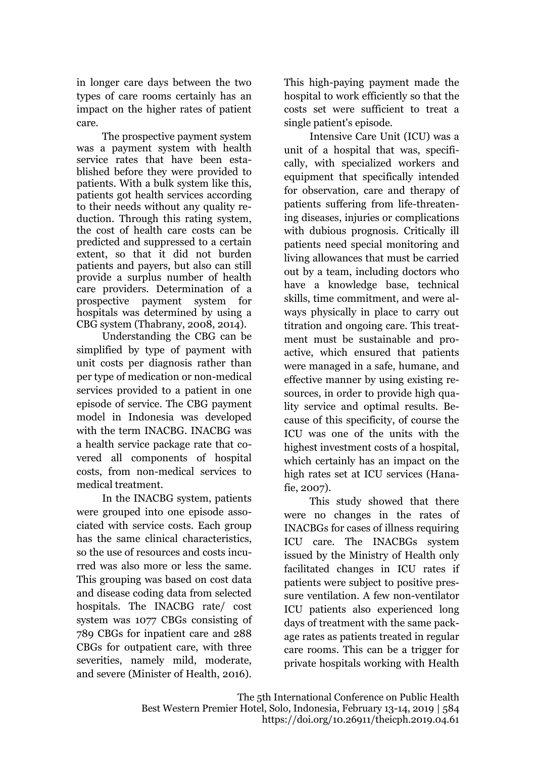in longer care days between the two types of care rooms certainly has an impact on the higher rates of patient care.

The prospective payment system was a payment system with health service rates that have been established before they were provided to patients. With a bulk system like this, patients got health services according to their needs without any quality reduction. Through this rating system, the cost of health care costs can be predicted and suppressed to a certain extent, so that it did not burden patients and payers, but also can still provide a surplus number of health care providers. Determination of a prospective payment system for hospitals was determined by using a CBG system (Thabrany, 2008, 2014).

Understanding the CBG can be simplified by type of payment with unit costs per diagnosis rather than per type of medication or non-medical services provided to a patient in one episode of service. The CBG payment model in Indonesia was developed with the term INACBG. INACBG was a health service package rate that covered all components of hospital costs, from non-medical services to medical treatment.

In the INACBG system, patients were grouped into one episode associated with service costs. Each group has the same clinical characteristics, so the use of resources and costs incurred was also more or less the same. This grouping was based on cost data and disease coding data from selected hospitals. The INACBG rate/ cost system was 1077 CBGs consisting of 789 CBGs for inpatient care and 288 CBGs for outpatient care, with three severities, namely mild, moderate, and severe (Minister of Health, 2016).

This high-paying payment made the hospital to work efficiently so that the costs set were sufficient to treat a single patient's episode.

Intensive Care Unit (ICU) was a unit of a hospital that was, specifically, with specialized workers and equipment that specifically intended for observation, care and therapy of patients suffering from life-threatening diseases, injuries or complications with dubious prognosis. Critically ill patients need special monitoring and living allowances that must be carried out by a team, including doctors who have a knowledge base, technical skills, time commitment, and were always physically in place to carry out titration and ongoing care. This treatment must be sustainable and proactive, which ensured that patients were managed in a safe, humane, and effective manner by using existing resources, in order to provide high quality service and optimal results. Because of this specificity, of course the ICU was one of the units with the highest investment costs of a hospital, which certainly has an impact on the high rates set at ICU services (Hanafie, 2007).

This study showed that there were no changes in the rates of INACBGs for cases of illness requiring ICU care. The INACBGs system issued by the Ministry of Health only facilitated changes in ICU rates if patients were subject to positive pressure ventilation. A few non-ventilator ICU patients also experienced long days of treatment with the same package rates as patients treated in regular care rooms. This can be a trigger for private hospitals working with Health